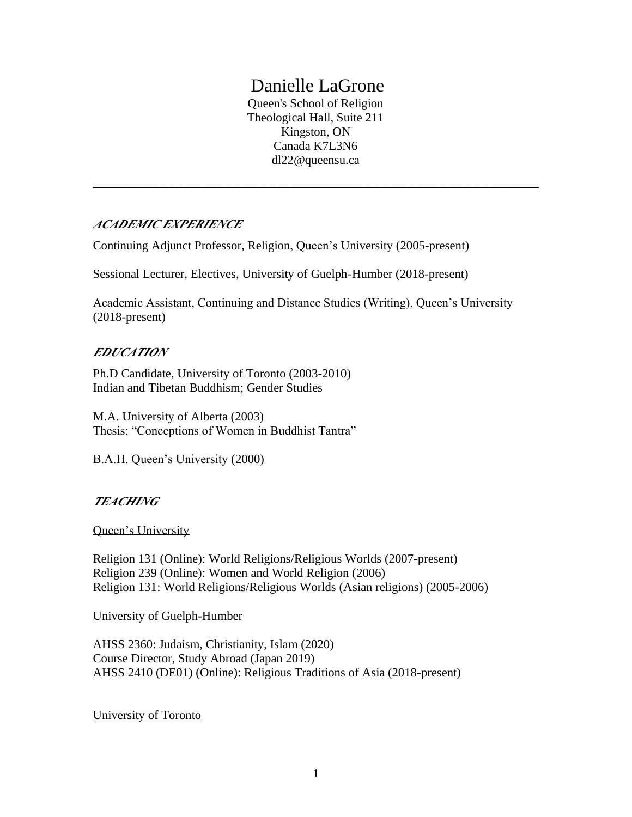# Danielle LaGrone

Queen's School of Religion Theological Hall, Suite 211 Kingston, ON Canada K7L3N6 dl22@queensu.ca

**\_\_\_\_\_\_\_\_\_\_\_\_\_\_\_\_\_\_\_\_\_\_\_\_\_\_\_\_\_\_\_\_\_\_\_\_\_\_\_\_\_\_\_\_\_\_\_\_**

## *ACADEMIC EXPERIENCE*

Continuing Adjunct Professor, Religion, Queen's University (2005-present)

Sessional Lecturer, Electives, University of Guelph-Humber (2018-present)

Academic Assistant, Continuing and Distance Studies (Writing), Queen's University (2018-present)

## *EDUCATION*

Ph.D Candidate, University of Toronto (2003-2010) Indian and Tibetan Buddhism; Gender Studies

M.A. University of Alberta (2003) Thesis: "Conceptions of Women in Buddhist Tantra"

B.A.H. Queen's University (2000)

## *TEACHING*

Queen's University

Religion 131 (Online): World Religions/Religious Worlds (2007-present) Religion 239 (Online): Women and World Religion (2006) Religion 131: World Religions/Religious Worlds (Asian religions) (2005-2006)

University of Guelph-Humber

AHSS 2360: Judaism, Christianity, Islam (2020) Course Director, Study Abroad (Japan 2019) AHSS 2410 (DE01) (Online): Religious Traditions of Asia (2018-present)

University of Toronto